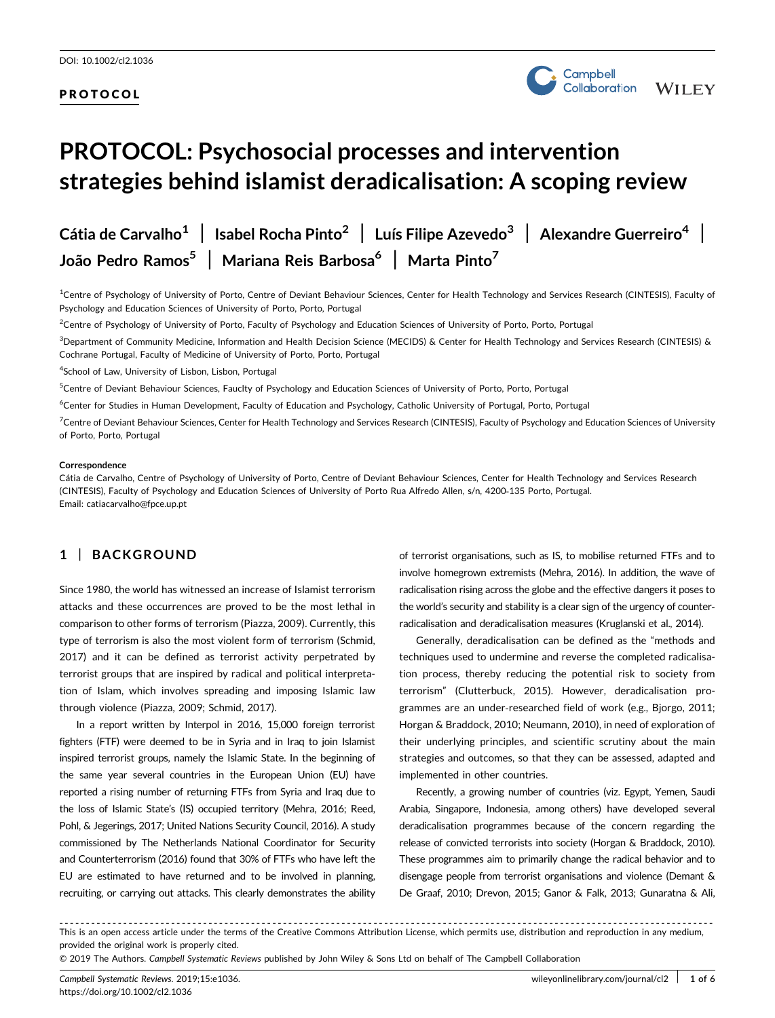# PROTOCOL



# PROTOCOL: Psychosocial processes and intervention strategies behind islamist deradicalisation: A scoping review

| Cátia de Carvalho <sup>1</sup>   Isabel Rocha Pinto <sup>2</sup>   Luís Filipe Azevedo <sup>3</sup>   Alexandre Guerreiro <sup>4</sup> |  |
|----------------------------------------------------------------------------------------------------------------------------------------|--|
| João Pedro Ramos <sup>5</sup>   Mariana Reis Barbosa <sup>6</sup>   Marta Pinto <sup>7</sup>                                           |  |

<sup>1</sup>Centre of Psychology of University of Porto, Centre of Deviant Behaviour Sciences, Center for Health Technology and Services Research (CINTESIS), Faculty of Psychology and Education Sciences of University of Porto, Porto, Portugal

<sup>2</sup>Centre of Psychology of University of Porto, Faculty of Psychology and Education Sciences of University of Porto, Portugal

3 Department of Community Medicine, Information and Health Decision Science (MECIDS) & Center for Health Technology and Services Research (CINTESIS) & Cochrane Portugal, Faculty of Medicine of University of Porto, Porto, Portugal

<sup>4</sup>School of Law, University of Lisbon, Lisbon, Portugal

5 Centre of Deviant Behaviour Sciences, Fauclty of Psychology and Education Sciences of University of Porto, Porto, Portugal

6 Center for Studies in Human Development, Faculty of Education and Psychology, Catholic University of Portugal, Porto, Portugal

 $^7$ Centre of Deviant Behaviour Sciences, Center for Health Technology and Services Research (CINTESIS), Faculty of Psychology and Education Sciences of University of Porto, Porto, Portugal

#### **Correspondence**

Cátia de Carvalho, Centre of Psychology of University of Porto, Centre of Deviant Behaviour Sciences, Center for Health Technology and Services Research (CINTESIS), Faculty of Psychology and Education Sciences of University of Porto Rua Alfredo Allen, s/n, 4200‐135 Porto, Portugal. Email: [catiacarvalho@fpce.up.pt](mailto:catiacarvalho@fpce.up.pt)

# 1 | BACKGROUND

Since 1980, the world has witnessed an increase of Islamist terrorism attacks and these occurrences are proved to be the most lethal in comparison to other forms of terrorism (Piazza, 2009). Currently, this type of terrorism is also the most violent form of terrorism (Schmid, 2017) and it can be defined as terrorist activity perpetrated by terrorist groups that are inspired by radical and political interpretation of Islam, which involves spreading and imposing Islamic law through violence (Piazza, 2009; Schmid, 2017).

In a report written by Interpol in 2016, 15,000 foreign terrorist fighters (FTF) were deemed to be in Syria and in Iraq to join Islamist inspired terrorist groups, namely the Islamic State. In the beginning of the same year several countries in the European Union (EU) have reported a rising number of returning FTFs from Syria and Iraq due to the loss of Islamic State's (IS) occupied territory (Mehra, 2016; Reed, Pohl, & Jegerings, 2017; United Nations Security Council, 2016). A study commissioned by The Netherlands National Coordinator for Security and Counterterrorism (2016) found that 30% of FTFs who have left the EU are estimated to have returned and to be involved in planning, recruiting, or carrying out attacks. This clearly demonstrates the ability

of terrorist organisations, such as IS, to mobilise returned FTFs and to involve homegrown extremists (Mehra, 2016). In addition, the wave of radicalisation rising across the globe and the effective dangers it poses to the world's security and stability is a clear sign of the urgency of counter‐ radicalisation and deradicalisation measures (Kruglanski et al., 2014).

Generally, deradicalisation can be defined as the "methods and techniques used to undermine and reverse the completed radicalisation process, thereby reducing the potential risk to society from terrorism" (Clutterbuck, 2015). However, deradicalisation programmes are an under‐researched field of work (e.g., Bjorgo, 2011; Horgan & Braddock, 2010; Neumann, 2010), in need of exploration of their underlying principles, and scientific scrutiny about the main strategies and outcomes, so that they can be assessed, adapted and implemented in other countries.

Recently, a growing number of countries (viz. Egypt, Yemen, Saudi Arabia, Singapore, Indonesia, among others) have developed several deradicalisation programmes because of the concern regarding the release of convicted terrorists into society (Horgan & Braddock, 2010). These programmes aim to primarily change the radical behavior and to disengage people from terrorist organisations and violence (Demant & De Graaf, 2010; Drevon, 2015; Ganor & Falk, 2013; Gunaratna & Ali,

--------------------------------------------------------------------------------------------------------------------------- This is an open access article under the terms of the Creative Commons Attribution License, which permits use, distribution and reproduction in any medium, provided the original work is properly cited.

© 2019 The Authors. Campbell Systematic Reviews published by John Wiley & Sons Ltd on behalf of The Campbell Collaboration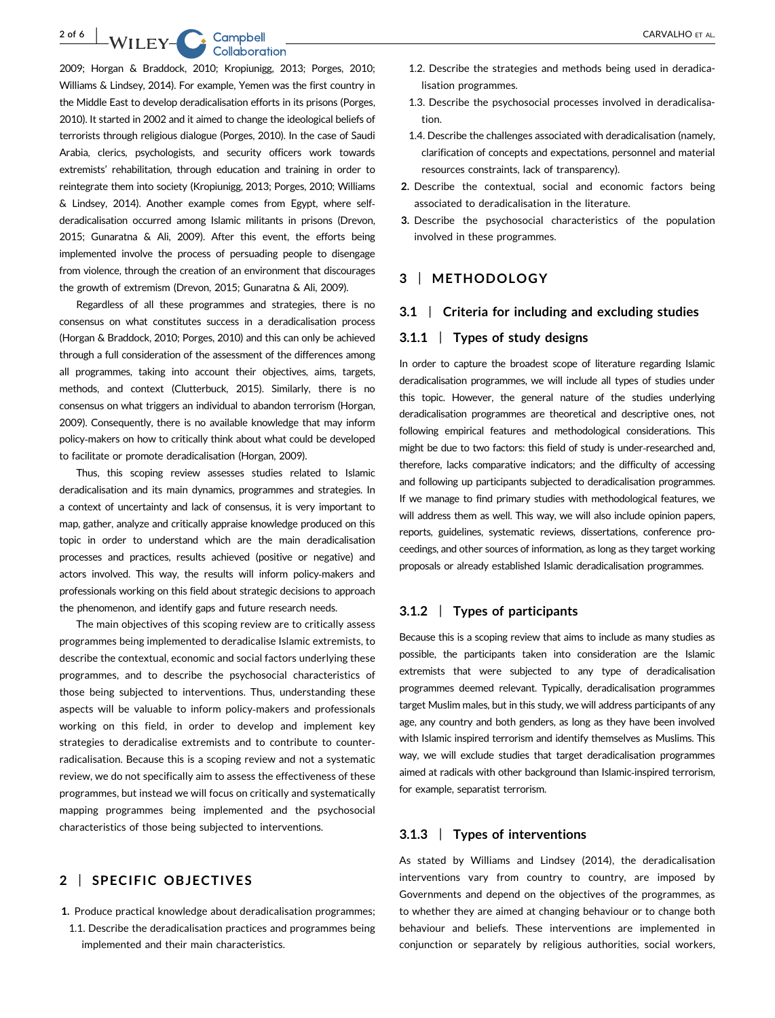2009; Horgan & Braddock, 2010; Kropiunigg, 2013; Porges, 2010; Williams & Lindsey, 2014). For example, Yemen was the first country in the Middle East to develop deradicalisation efforts in its prisons (Porges, 2010). It started in 2002 and it aimed to change the ideological beliefs of terrorists through religious dialogue (Porges, 2010). In the case of Saudi Arabia, clerics, psychologists, and security officers work towards extremists' rehabilitation, through education and training in order to reintegrate them into society (Kropiunigg, 2013; Porges, 2010; Williams & Lindsey, 2014). Another example comes from Egypt, where self‐ deradicalisation occurred among Islamic militants in prisons (Drevon, 2015; Gunaratna & Ali, 2009). After this event, the efforts being implemented involve the process of persuading people to disengage from violence, through the creation of an environment that discourages the growth of extremism (Drevon, 2015; Gunaratna & Ali, 2009).

Regardless of all these programmes and strategies, there is no consensus on what constitutes success in a deradicalisation process (Horgan & Braddock, 2010; Porges, 2010) and this can only be achieved through a full consideration of the assessment of the differences among all programmes, taking into account their objectives, aims, targets, methods, and context (Clutterbuck, 2015). Similarly, there is no consensus on what triggers an individual to abandon terrorism (Horgan, 2009). Consequently, there is no available knowledge that may inform policy‐makers on how to critically think about what could be developed to facilitate or promote deradicalisation (Horgan, 2009).

Thus, this scoping review assesses studies related to Islamic deradicalisation and its main dynamics, programmes and strategies. In a context of uncertainty and lack of consensus, it is very important to map, gather, analyze and critically appraise knowledge produced on this topic in order to understand which are the main deradicalisation processes and practices, results achieved (positive or negative) and actors involved. This way, the results will inform policy-makers and professionals working on this field about strategic decisions to approach the phenomenon, and identify gaps and future research needs.

The main objectives of this scoping review are to critically assess programmes being implemented to deradicalise Islamic extremists, to describe the contextual, economic and social factors underlying these programmes, and to describe the psychosocial characteristics of those being subjected to interventions. Thus, understanding these aspects will be valuable to inform policy‐makers and professionals working on this field, in order to develop and implement key strategies to deradicalise extremists and to contribute to counter‐ radicalisation. Because this is a scoping review and not a systematic review, we do not specifically aim to assess the effectiveness of these programmes, but instead we will focus on critically and systematically mapping programmes being implemented and the psychosocial characteristics of those being subjected to interventions.

# 2 | SPECIFIC OBJECTIVES

1. Produce practical knowledge about deradicalisation programmes; 1.1. Describe the deradicalisation practices and programmes being implemented and their main characteristics.

- 1.2. Describe the strategies and methods being used in deradicalisation programmes.
- 1.3. Describe the psychosocial processes involved in deradicalisation.
- 1.4. Describe the challenges associated with deradicalisation (namely, clarification of concepts and expectations, personnel and material resources constraints, lack of transparency).
- 2. Describe the contextual, social and economic factors being associated to deradicalisation in the literature.
- 3. Describe the psychosocial characteristics of the population involved in these programmes.

## 3 | METHODOLOGY

# 3.1 | Criteria for including and excluding studies

## 3.1.1 | Types of study designs

In order to capture the broadest scope of literature regarding Islamic deradicalisation programmes, we will include all types of studies under this topic. However, the general nature of the studies underlying deradicalisation programmes are theoretical and descriptive ones, not following empirical features and methodological considerations. This might be due to two factors: this field of study is under‐researched and, therefore, lacks comparative indicators; and the difficulty of accessing and following up participants subjected to deradicalisation programmes. If we manage to find primary studies with methodological features, we will address them as well. This way, we will also include opinion papers, reports, guidelines, systematic reviews, dissertations, conference proceedings, and other sources of information, as long as they target working proposals or already established Islamic deradicalisation programmes.

## 3.1.2 | Types of participants

Because this is a scoping review that aims to include as many studies as possible, the participants taken into consideration are the Islamic extremists that were subjected to any type of deradicalisation programmes deemed relevant. Typically, deradicalisation programmes target Muslim males, but in this study, we will address participants of any age, any country and both genders, as long as they have been involved with Islamic inspired terrorism and identify themselves as Muslims. This way, we will exclude studies that target deradicalisation programmes aimed at radicals with other background than Islamic‐inspired terrorism, for example, separatist terrorism.

# 3.1.3 | Types of interventions

As stated by Williams and Lindsey (2014), the deradicalisation interventions vary from country to country, are imposed by Governments and depend on the objectives of the programmes, as to whether they are aimed at changing behaviour or to change both behaviour and beliefs. These interventions are implemented in conjunction or separately by religious authorities, social workers,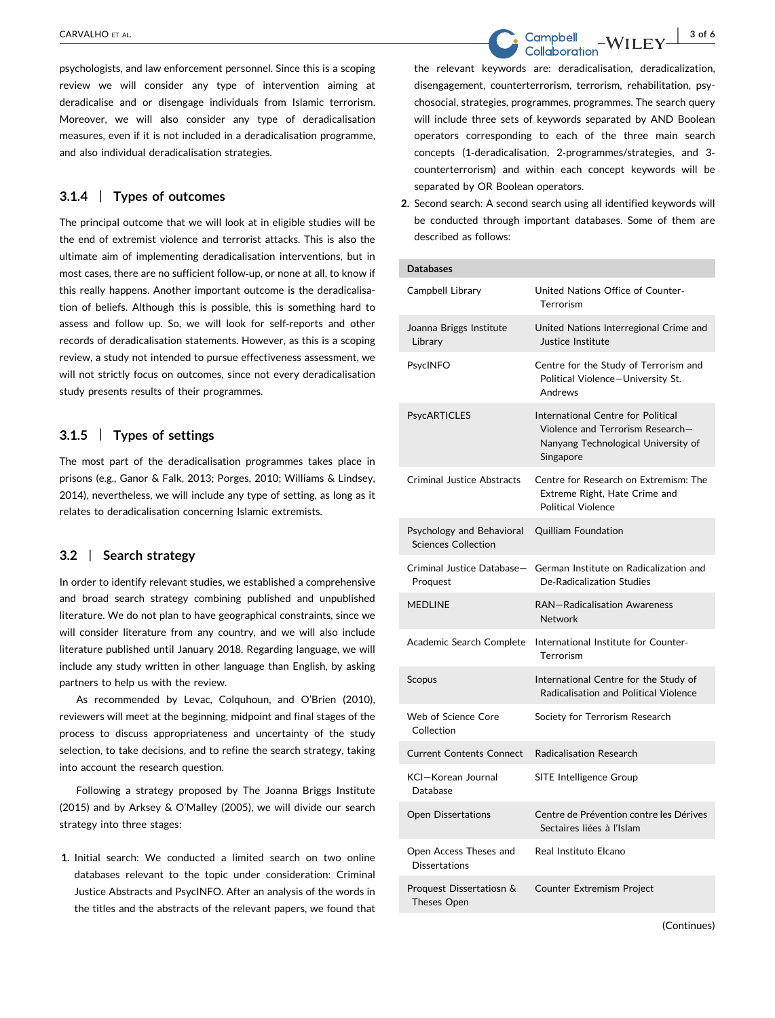psychologists, and law enforcement personnel. Since this is a scoping review we will consider any type of intervention aiming at deradicalise and or disengage individuals from Islamic terrorism. Moreover, we will also consider any type of deradicalisation measures, even if it is not included in a deradicalisation programme, and also individual deradicalisation strategies.

# 3.1.4 | Types of outcomes

The principal outcome that we will look at in eligible studies will be the end of extremist violence and terrorist attacks. This is also the ultimate aim of implementing deradicalisation interventions, but in most cases, there are no sufficient follow‐up, or none at all, to know if this really happens. Another important outcome is the deradicalisation of beliefs. Although this is possible, this is something hard to assess and follow up. So, we will look for self‐reports and other records of deradicalisation statements. However, as this is a scoping review, a study not intended to pursue effectiveness assessment, we will not strictly focus on outcomes, since not every deradicalisation study presents results of their programmes.

# 3.1.5 | Types of settings

The most part of the deradicalisation programmes takes place in prisons (e.g., Ganor & Falk, 2013; Porges, 2010; Williams & Lindsey, 2014), nevertheless, we will include any type of setting, as long as it relates to deradicalisation concerning Islamic extremists.

# 3.2 | Search strategy

In order to identify relevant studies, we established a comprehensive and broad search strategy combining published and unpublished literature. We do not plan to have geographical constraints, since we will consider literature from any country, and we will also include literature published until January 2018. Regarding language, we will include any study written in other language than English, by asking partners to help us with the review.

As recommended by Levac, Colquhoun, and O'Brien (2010), reviewers will meet at the beginning, midpoint and final stages of the process to discuss appropriateness and uncertainty of the study selection, to take decisions, and to refine the search strategy, taking into account the research question.

Following a strategy proposed by The Joanna Briggs Institute (2015) and by Arksey & O'Malley (2005), we will divide our search strategy into three stages:

1. Initial search: We conducted a limited search on two online databases relevant to the topic under consideration: Criminal Justice Abstracts and PsycINFO. After an analysis of the words in the titles and the abstracts of the relevant papers, we found that the relevant keywords are: deradicalisation, deradicalization, disengagement, counterterrorism, terrorism, rehabilitation, psychosocial, strategies, programmes, programmes. The search query will include three sets of keywords separated by AND Boolean operators corresponding to each of the three main search concepts (1‐deradicalisation, 2‐programmes/strategies, and 3‐ counterterrorism) and within each concept keywords will be separated by OR Boolean operators.

Collaboration

2. Second search: A second search using all identified keywords will be conducted through important databases. Some of them are described as follows:

#### Databases

|  | Campbell Library                                        | United Nations Office of Counter-<br>Terrorism                                                                             |
|--|---------------------------------------------------------|----------------------------------------------------------------------------------------------------------------------------|
|  | Joanna Briggs Institute<br>Library                      | United Nations Interregional Crime and<br>Justice Institute                                                                |
|  | PsycINFO                                                | Centre for the Study of Terrorism and<br>Political Violence-University St.<br>Andrews                                      |
|  | <b>PsycARTICLES</b>                                     | International Centre for Political<br>Violence and Terrorism Research-<br>Nanyang Technological University of<br>Singapore |
|  | Criminal Justice Abstracts                              | Centre for Research on Extremism: The<br>Extreme Right, Hate Crime and<br><b>Political Violence</b>                        |
|  | Psychology and Behavioral<br><b>Sciences Collection</b> | <b>Quilliam Foundation</b>                                                                                                 |
|  | Criminal Justice Database-<br>Proquest                  | German Institute on Radicalization and<br>De-Radicalization Studies                                                        |
|  | <b>MEDLINE</b>                                          | <b>RAN-Radicalisation Awareness</b><br><b>Network</b>                                                                      |
|  |                                                         |                                                                                                                            |
|  | Academic Search Complete                                | International Institute for Counter-<br>Terrorism                                                                          |
|  | Scopus                                                  | International Centre for the Study of<br>Radicalisation and Political Violence                                             |
|  | Web of Science Core<br>Collection                       | Society for Terrorism Research                                                                                             |
|  | <b>Current Contents Connect</b>                         | <b>Radicalisation Research</b>                                                                                             |
|  | KCI-Korean Journal<br>Database                          | SITE Intelligence Group                                                                                                    |
|  | <b>Open Dissertations</b>                               | Centre de Prévention contre les Dérives<br>Sectaires liées à l'Islam                                                       |
|  | Open Access Theses and<br><b>Dissertations</b>          | Real Instituto Elcano                                                                                                      |
|  | Proquest Dissertatiosn &<br>Theses Open                 | Counter Extremism Project                                                                                                  |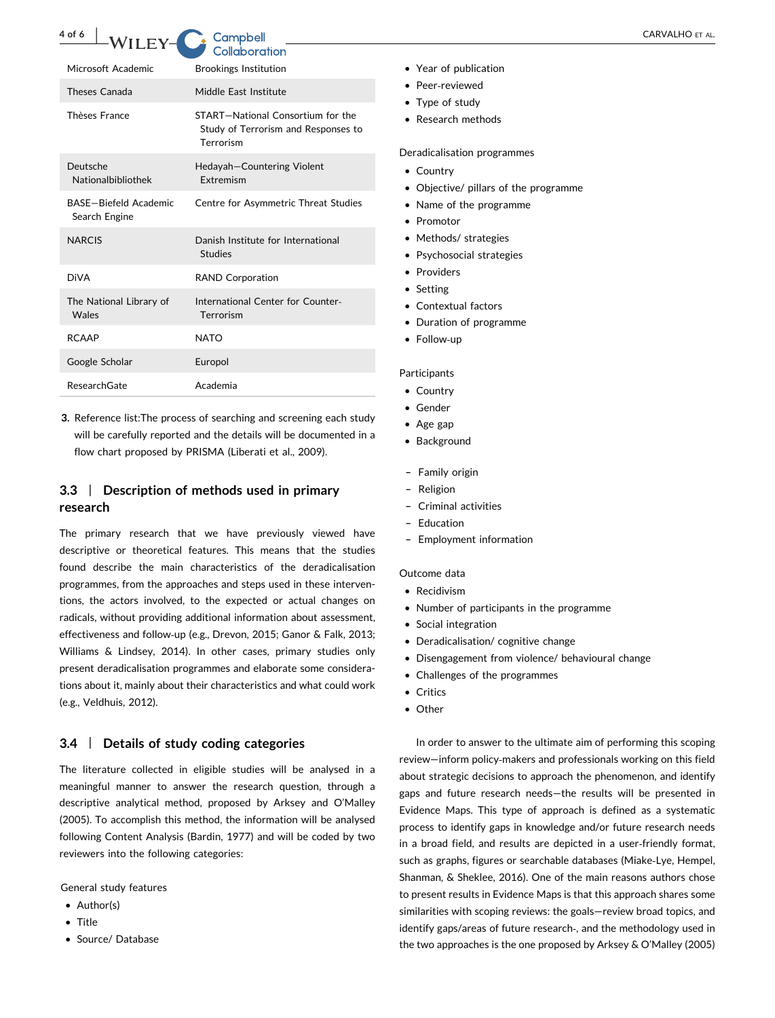| WILEY-                                 | <u>sanposn</u><br>Collaboration                                                       |
|----------------------------------------|---------------------------------------------------------------------------------------|
| Microsoft Academic                     | <b>Brookings Institution</b>                                                          |
| Theses Canada                          | Middle East Institute                                                                 |
| Thèses France                          | START-National Consortium for the<br>Study of Terrorism and Responses to<br>Terrorism |
| Deutsche<br>Nationalbibliothek         | Hedayah-Countering Violent<br>Extremism                                               |
| BASE-Biefeld Academic<br>Search Engine | Centre for Asymmetric Threat Studies                                                  |
| <b>NARCIS</b>                          | Danish Institute for International<br>Studies                                         |
| <b>DiVA</b>                            | <b>RAND Corporation</b>                                                               |
| The National Library of<br>Wales       | International Center for Counter-<br>Terrorism                                        |
| <b>RCAAP</b>                           | <b>NATO</b>                                                                           |
| Google Scholar                         | Europol                                                                               |
| ResearchGate                           | Academia                                                                              |

3. Reference list:The process of searching and screening each study will be carefully reported and the details will be documented in a flow chart proposed by PRISMA (Liberati et al., 2009).

# 3.3 | Description of methods used in primary research

The primary research that we have previously viewed have descriptive or theoretical features. This means that the studies found describe the main characteristics of the deradicalisation programmes, from the approaches and steps used in these interventions, the actors involved, to the expected or actual changes on radicals, without providing additional information about assessment, effectiveness and follow‐up (e.g., Drevon, 2015; Ganor & Falk, 2013; Williams & Lindsey, 2014). In other cases, primary studies only present deradicalisation programmes and elaborate some considerations about it, mainly about their characteristics and what could work (e.g., Veldhuis, 2012).

# 3.4 | Details of study coding categories

The literature collected in eligible studies will be analysed in a meaningful manner to answer the research question, through a descriptive analytical method, proposed by Arksey and O'Malley (2005). To accomplish this method, the information will be analysed following Content Analysis (Bardin, 1977) and will be coded by two reviewers into the following categories:

General study features

- Author(s)
- Title
- Source/ Database
- Peer‐reviewed
- Type of study
- Research methods

Deradicalisation programmes

- Country
- Objective/ pillars of the programme
- Name of the programme
- Promotor
- Methods/ strategies
- Psychosocial strategies
- Providers
- Setting
- Contextual factors
- Duration of programme
- Follow‐up

#### Participants

- Country
- Gender
- Age gap
- Background
- Family origin
- **Religion**
- Criminal activities
- Education
- Employment information

# Outcome data

- Recidivism
- Number of participants in the programme
- Social integration
- Deradicalisation/ cognitive change
- Disengagement from violence/ behavioural change
- Challenges of the programmes
- Critics
- Other

In order to answer to the ultimate aim of performing this scoping review—inform policy‐makers and professionals working on this field about strategic decisions to approach the phenomenon, and identify gaps and future research needs—the results will be presented in Evidence Maps. This type of approach is defined as a systematic process to identify gaps in knowledge and/or future research needs in a broad field, and results are depicted in a user-friendly format, such as graphs, figures or searchable databases (Miake‐Lye, Hempel, Shanman, & Sheklee, 2016). One of the main reasons authors chose to present results in Evidence Maps is that this approach shares some similarities with scoping reviews: the goals—review broad topics, and identify gaps/areas of future research‐, and the methodology used in the two approaches is the one proposed by Arksey & O'Malley (2005)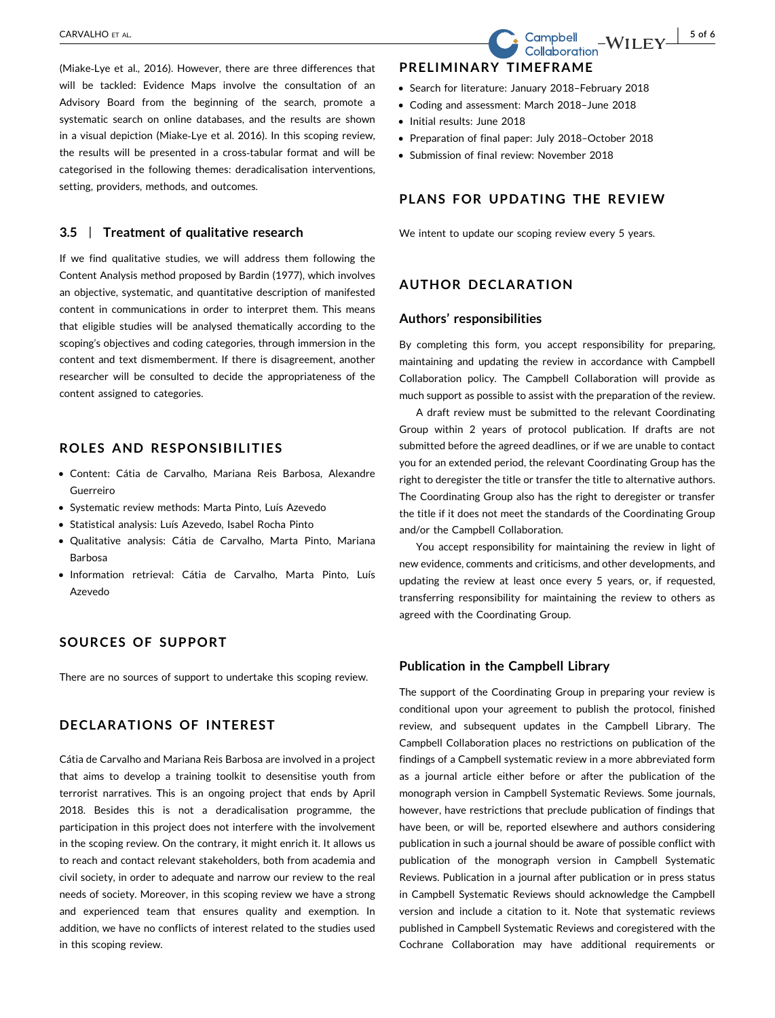(Miake‐Lye et al., 2016). However, there are three differences that will be tackled: Evidence Maps involve the consultation of an Advisory Board from the beginning of the search, promote a systematic search on online databases, and the results are shown in a visual depiction (Miake‐Lye et al. 2016). In this scoping review, the results will be presented in a cross‐tabular format and will be categorised in the following themes: deradicalisation interventions, setting, providers, methods, and outcomes.

## 3.5 | Treatment of qualitative research

If we find qualitative studies, we will address them following the Content Analysis method proposed by Bardin (1977), which involves an objective, systematic, and quantitative description of manifested content in communications in order to interpret them. This means that eligible studies will be analysed thematically according to the scoping's objectives and coding categories, through immersion in the content and text dismemberment. If there is disagreement, another researcher will be consulted to decide the appropriateness of the content assigned to categories.

# ROLES AND RESPONSIBILITIES

- Content: Cátia de Carvalho, Mariana Reis Barbosa, Alexandre Guerreiro
- Systematic review methods: Marta Pinto, Luís Azevedo
- Statistical analysis: Luís Azevedo, Isabel Rocha Pinto
- Qualitative analysis: Cátia de Carvalho, Marta Pinto, Mariana Barbosa
- Information retrieval: Cátia de Carvalho, Marta Pinto, Luís Azevedo

## SOURCES OF SUPPORT

There are no sources of support to undertake this scoping review.

# DECLARATIONS OF INTEREST

Cátia de Carvalho and Mariana Reis Barbosa are involved in a project that aims to develop a training toolkit to desensitise youth from terrorist narratives. This is an ongoing project that ends by April 2018. Besides this is not a deradicalisation programme, the participation in this project does not interfere with the involvement in the scoping review. On the contrary, it might enrich it. It allows us to reach and contact relevant stakeholders, both from academia and civil society, in order to adequate and narrow our review to the real needs of society. Moreover, in this scoping review we have a strong and experienced team that ensures quality and exemption. In addition, we have no conflicts of interest related to the studies used in this scoping review.

# PRELIMINARY TIMEFRAME

- Search for literature: January 2018–February 2018
- Coding and assessment: March 2018–June 2018
- Initial results: June 2018
- Preparation of final paper: July 2018–October 2018
- Submission of final review: November 2018

# PLANS FOR UPDATING THE REVIEW

We intent to update our scoping review every 5 years.

# AUTHOR DECLARATION

## Authors' responsibilities

By completing this form, you accept responsibility for preparing, maintaining and updating the review in accordance with Campbell Collaboration policy. The Campbell Collaboration will provide as much support as possible to assist with the preparation of the review.

A draft review must be submitted to the relevant Coordinating Group within 2 years of protocol publication. If drafts are not submitted before the agreed deadlines, or if we are unable to contact you for an extended period, the relevant Coordinating Group has the right to deregister the title or transfer the title to alternative authors. The Coordinating Group also has the right to deregister or transfer the title if it does not meet the standards of the Coordinating Group and/or the Campbell Collaboration.

You accept responsibility for maintaining the review in light of new evidence, comments and criticisms, and other developments, and updating the review at least once every 5 years, or, if requested, transferring responsibility for maintaining the review to others as agreed with the Coordinating Group.

#### Publication in the Campbell Library

The support of the Coordinating Group in preparing your review is conditional upon your agreement to publish the protocol, finished review, and subsequent updates in the Campbell Library. The Campbell Collaboration places no restrictions on publication of the findings of a Campbell systematic review in a more abbreviated form as a journal article either before or after the publication of the monograph version in Campbell Systematic Reviews. Some journals, however, have restrictions that preclude publication of findings that have been, or will be, reported elsewhere and authors considering publication in such a journal should be aware of possible conflict with publication of the monograph version in Campbell Systematic Reviews. Publication in a journal after publication or in press status in Campbell Systematic Reviews should acknowledge the Campbell version and include a citation to it. Note that systematic reviews published in Campbell Systematic Reviews and coregistered with the Cochrane Collaboration may have additional requirements or